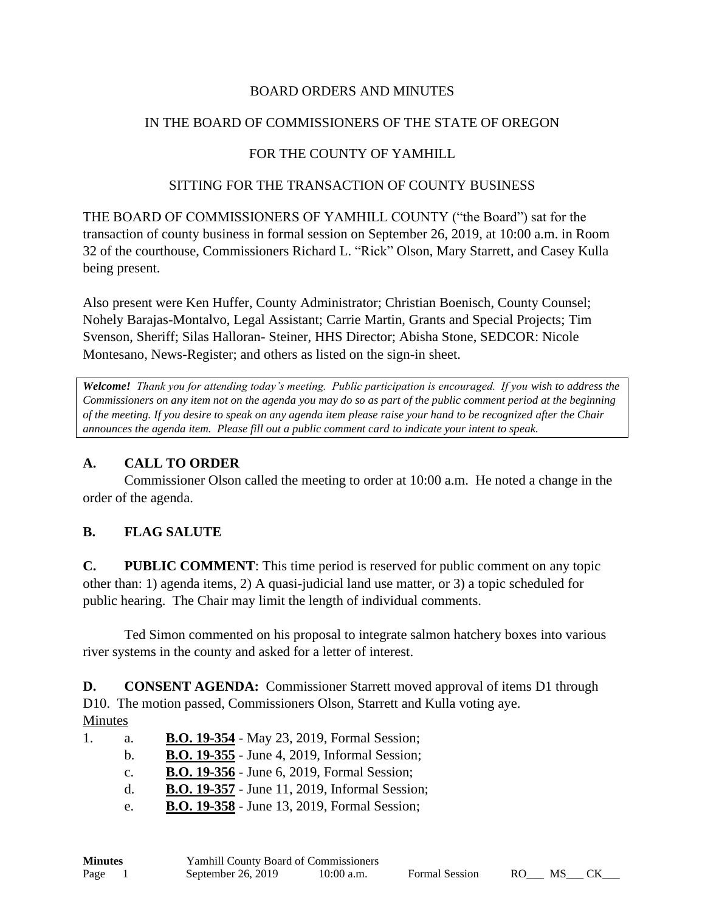### BOARD ORDERS AND MINUTES

### IN THE BOARD OF COMMISSIONERS OF THE STATE OF OREGON

### FOR THE COUNTY OF YAMHILL

#### SITTING FOR THE TRANSACTION OF COUNTY BUSINESS

THE BOARD OF COMMISSIONERS OF YAMHILL COUNTY ("the Board") sat for the transaction of county business in formal session on September 26, 2019, at 10:00 a.m. in Room 32 of the courthouse, Commissioners Richard L. "Rick" Olson, Mary Starrett, and Casey Kulla being present.

Also present were Ken Huffer, County Administrator; Christian Boenisch, County Counsel; Nohely Barajas-Montalvo, Legal Assistant; Carrie Martin, Grants and Special Projects; Tim Svenson, Sheriff; Silas Halloran- Steiner, HHS Director; Abisha Stone, SEDCOR: Nicole Montesano, News-Register; and others as listed on the sign-in sheet.

*Welcome! Thank you for attending today's meeting. Public participation is encouraged. If you wish to address the Commissioners on any item not on the agenda you may do so as part of the public comment period at the beginning of the meeting. If you desire to speak on any agenda item please raise your hand to be recognized after the Chair announces the agenda item. Please fill out a public comment card to indicate your intent to speak.*

#### **A. CALL TO ORDER**

Commissioner Olson called the meeting to order at 10:00 a.m. He noted a change in the order of the agenda.

#### **B. FLAG SALUTE**

**C. PUBLIC COMMENT**: This time period is reserved for public comment on any topic other than: 1) agenda items, 2) A quasi-judicial land use matter, or 3) a topic scheduled for public hearing. The Chair may limit the length of individual comments.

Ted Simon commented on his proposal to integrate salmon hatchery boxes into various river systems in the county and asked for a letter of interest.

**D. CONSENT AGENDA:** Commissioner Starrett moved approval of items D1 through D10. The motion passed, Commissioners Olson, Starrett and Kulla voting aye. Minutes

| 1. | a.             | <b>B.O. 19-354</b> - May 23, 2019, Formal Session;    |
|----|----------------|-------------------------------------------------------|
|    | b.             | <b>B.O. 19-355</b> - June 4, 2019, Informal Session;  |
|    | $\mathbf{c}$ . | <b>B.O. 19-356</b> - June 6, 2019, Formal Session;    |
|    | $d_{-}$        | <b>B.O. 19-357</b> - June 11, 2019, Informal Session; |
|    | e.             | <b>B.O. 19-358</b> - June 13, 2019, Formal Session;   |

| <b>Minutes</b> | <b>Yamhill County Board of Commissioners</b> |              |                       |      |    |  |
|----------------|----------------------------------------------|--------------|-----------------------|------|----|--|
| Page           | September 26, 2019                           | $10:00$ a.m. | <b>Formal Session</b> | RO – | MS |  |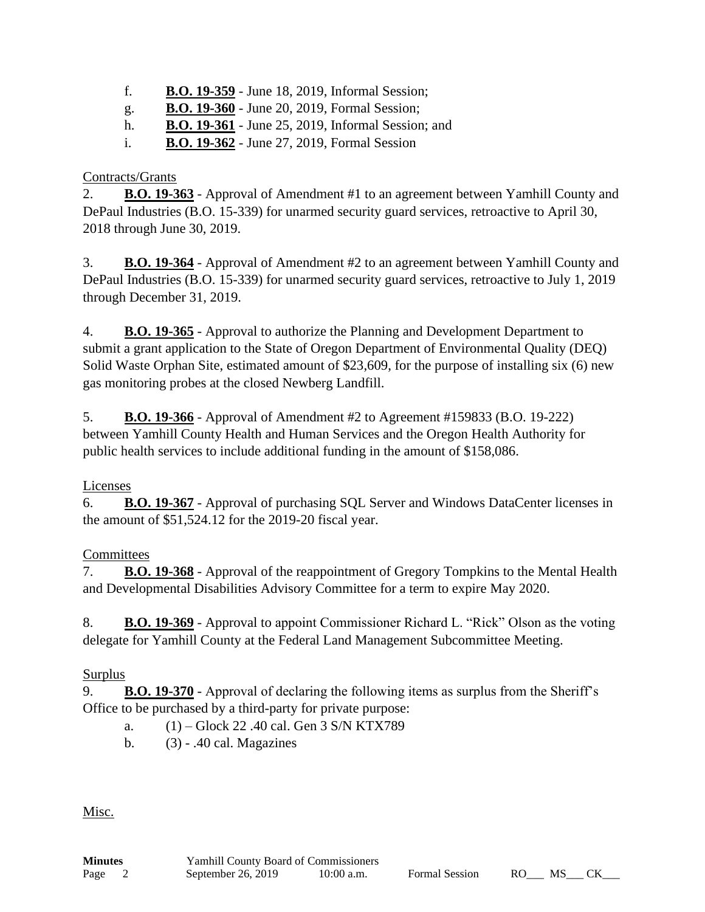- f. **B.O. 19-359** June 18, 2019, Informal Session;
- g. **B.O. 19-360** June 20, 2019, Formal Session;
- h. **B.O. 19-361** June 25, 2019, Informal Session; and
- i. **B.O. 19-362** June 27, 2019, Formal Session

## Contracts/Grants

2. **B.O. 19-363** - Approval of Amendment #1 to an agreement between Yamhill County and DePaul Industries (B.O. 15-339) for unarmed security guard services, retroactive to April 30, 2018 through June 30, 2019.

3. **B.O. 19-364** - Approval of Amendment #2 to an agreement between Yamhill County and DePaul Industries (B.O. 15-339) for unarmed security guard services, retroactive to July 1, 2019 through December 31, 2019.

4. **B.O. 19-365** - Approval to authorize the Planning and Development Department to submit a grant application to the State of Oregon Department of Environmental Quality (DEQ) Solid Waste Orphan Site, estimated amount of \$23,609, for the purpose of installing six (6) new gas monitoring probes at the closed Newberg Landfill.

5. **B.O. 19-366** - Approval of Amendment #2 to Agreement #159833 (B.O. 19-222) between Yamhill County Health and Human Services and the Oregon Health Authority for public health services to include additional funding in the amount of \$158,086.

# Licenses

6. **B.O. 19-367** - Approval of purchasing SQL Server and Windows DataCenter licenses in the amount of \$51,524.12 for the 2019-20 fiscal year.

# **Committees**

7. **B.O. 19-368** - Approval of the reappointment of Gregory Tompkins to the Mental Health and Developmental Disabilities Advisory Committee for a term to expire May 2020.

8. **B.O. 19-369** - Approval to appoint Commissioner Richard L. "Rick" Olson as the voting delegate for Yamhill County at the Federal Land Management Subcommittee Meeting.

# Surplus

9. **B.O. 19-370** - Approval of declaring the following items as surplus from the Sheriff's Office to be purchased by a third-party for private purpose:

- a. (1) Glock 22 .40 cal. Gen 3 S/N KTX789
- b. (3) .40 cal. Magazines

Misc.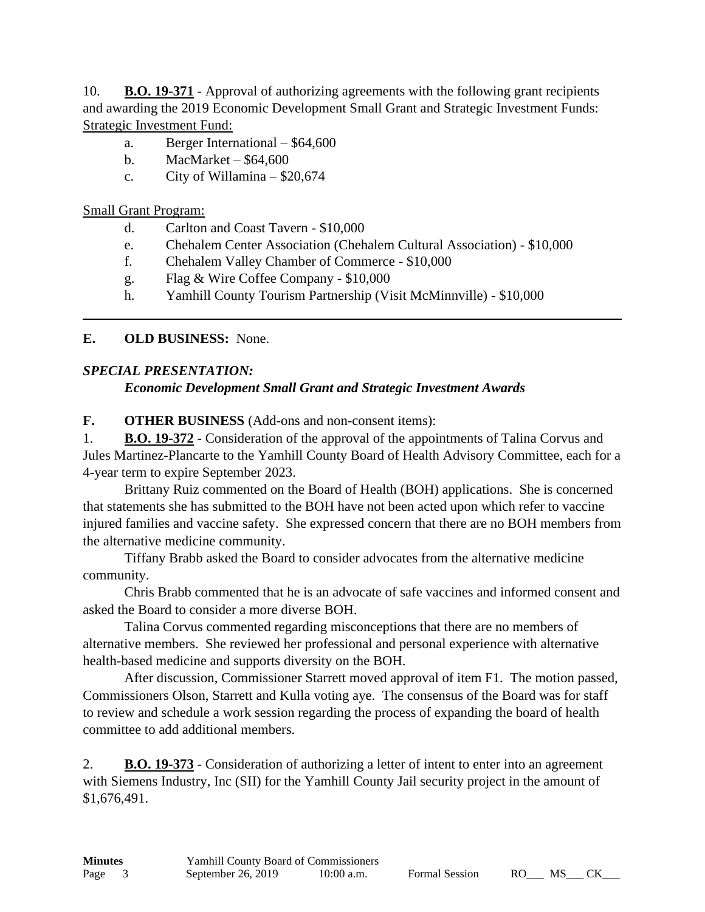10. **B.O. 19-371** - Approval of authorizing agreements with the following grant recipients and awarding the 2019 Economic Development Small Grant and Strategic Investment Funds: Strategic Investment Fund:

- a. Berger International \$64,600
- b. MacMarket \$64,600
- c. City of Willamina \$20,674

Small Grant Program:

- d. Carlton and Coast Tavern \$10,000
- e. Chehalem Center Association (Chehalem Cultural Association) \$10,000
- f. Chehalem Valley Chamber of Commerce \$10,000
- g. Flag & Wire Coffee Company \$10,000
- h. Yamhill County Tourism Partnership (Visit McMinnville) \$10,000

# **E. OLD BUSINESS:** None.

## *SPECIAL PRESENTATION:*

# *Economic Development Small Grant and Strategic Investment Awards*

**F. OTHER BUSINESS** (Add-ons and non-consent items):

1. **B.O. 19-372** - Consideration of the approval of the appointments of Talina Corvus and Jules Martinez-Plancarte to the Yamhill County Board of Health Advisory Committee, each for a 4-year term to expire September 2023.

Brittany Ruiz commented on the Board of Health (BOH) applications. She is concerned that statements she has submitted to the BOH have not been acted upon which refer to vaccine injured families and vaccine safety. She expressed concern that there are no BOH members from the alternative medicine community.

Tiffany Brabb asked the Board to consider advocates from the alternative medicine community.

Chris Brabb commented that he is an advocate of safe vaccines and informed consent and asked the Board to consider a more diverse BOH.

Talina Corvus commented regarding misconceptions that there are no members of alternative members. She reviewed her professional and personal experience with alternative health-based medicine and supports diversity on the BOH.

After discussion, Commissioner Starrett moved approval of item F1. The motion passed, Commissioners Olson, Starrett and Kulla voting aye. The consensus of the Board was for staff to review and schedule a work session regarding the process of expanding the board of health committee to add additional members.

2. **B.O. 19-373** - Consideration of authorizing a letter of intent to enter into an agreement with Siemens Industry, Inc (SII) for the Yamhill County Jail security project in the amount of \$1,676,491.